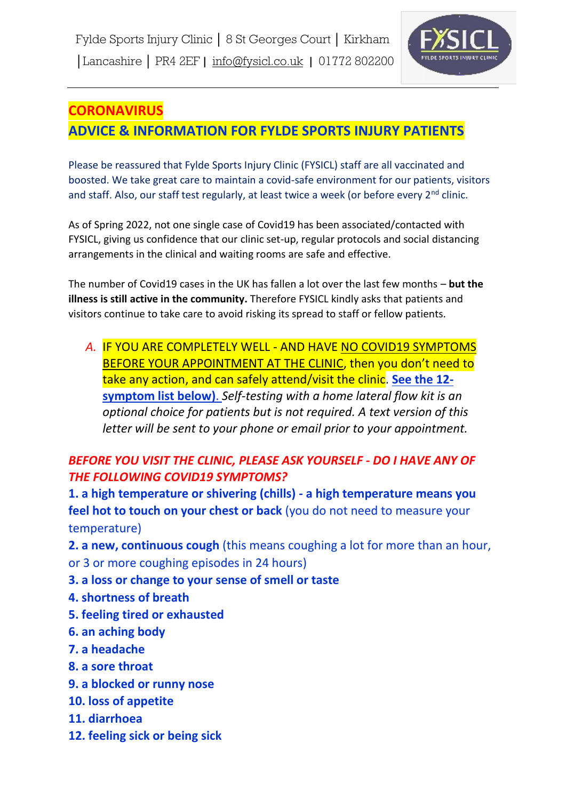

# **CORONAVIRUS ADVICE & INFORMATION FOR FYLDE SPORTS INJURY PATIENTS**

Please be reassured that Fylde Sports Injury Clinic (FYSICL) staff are all vaccinated and boosted. We take great care to maintain a covid-safe environment for our patients, visitors and staff. Also, our staff test regularly, at least twice a week (or before every 2<sup>nd</sup> clinic.

As of Spring 2022, not one single case of Covid19 has been associated/contacted with FYSICL, giving us confidence that our clinic set-up, regular protocols and social distancing arrangements in the clinical and waiting rooms are safe and effective.

The number of Covid19 cases in the UK has fallen a lot over the last few months – **but the illness is still active in the community.** Therefore FYSICL kindly asks that patients and visitors continue to take care to avoid risking its spread to staff or fellow patients.

*A.* IF YOU ARE COMPLETELY WELL - AND HAVE NO COVID19 SYMPTOMS BEFORE YOUR APPOINTMENT AT THE CLINIC, then you don't need to take any action, and can safely attend/visit the clinic. **See the 12 symptom list below)**. *Self-testing with a home lateral flow kit is an optional choice for patients but is not required. A text version of this letter will be sent to your phone or email prior to your appointment.* 

## *BEFORE YOU VISIT THE CLINIC, PLEASE ASK YOURSELF - DO I HAVE ANY OF THE FOLLOWING COVID19 SYMPTOMS?*

**1. a high temperature or shivering (chills) - a high temperature means you feel hot to touch on your chest or back** (you do not need to measure your temperature)

**2. a new, continuous cough** (this means coughing a lot for more than an hour, or 3 or more coughing episodes in 24 hours)

- **3. a loss or change to your sense of smell or taste**
- **4. shortness of breath**
- **5. feeling tired or exhausted**
- **6. an aching body**
- **7. a headache**
- **8. a sore throat**
- **9. a blocked or runny nose**
- **10. loss of appetite**
- **11. diarrhoea**
- **12. feeling sick or being sick**